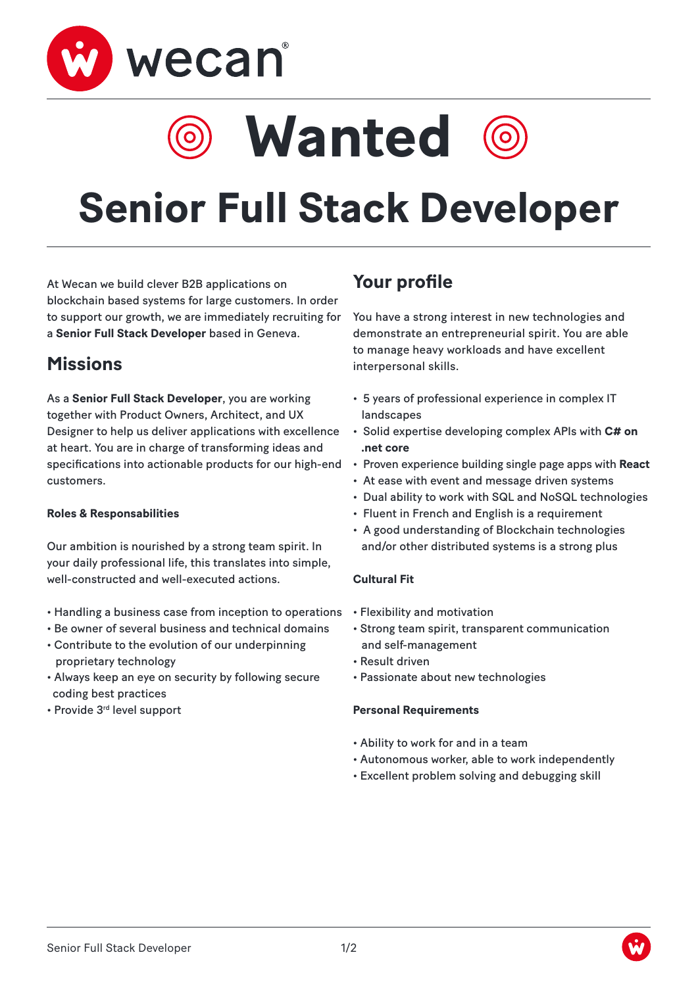

# **Wanted**



At Wecan we build clever B2B applications on blockchain based systems for large customers. In order to support our growth, we are immediately recruiting for a **Senior Full Stack Developer** based in Geneva.

### **Missions**

As a **Senior Full Stack Developer**, you are working together with Product Owners, Architect, and UX Designer to help us deliver applications with excellence at heart. You are in charge of transforming ideas and specifications into actionable products for our high-end customers.

#### **Roles & Responsabilities**

Our ambition is nourished by a strong team spirit. In your daily professional life, this translates into simple, well-constructed and well-executed actions.

- Handling a business case from inception to operations
- Be owner of several business and technical domains
- Contribute to the evolution of our underpinning proprietary technology
- Always keep an eye on security by following secure coding best practices
- Provide 3rd level support

## **Your profile**

You have a strong interest in new technologies and demonstrate an entrepreneurial spirit. You are able to manage heavy workloads and have excellent interpersonal skills.

- 5 years of professional experience in complex IT landscapes
- Solid expertise developing complex APIs with **C# on .net core**
- Proven experience building single page apps with **React**
- At ease with event and message driven systems
- Dual ability to work with SQL and NoSQL technologies
- Fluent in French and English is a requirement
- A good understanding of Blockchain technologies and/or other distributed systems is a strong plus

#### **Cultural Fit**

- Flexibility and motivation
- Strong team spirit, transparent communication and self-management
- Result driven
- Passionate about new technologies

#### **Personal Requirements**

- Ability to work for and in a team
- Autonomous worker, able to work independently
- Excellent problem solving and debugging skill